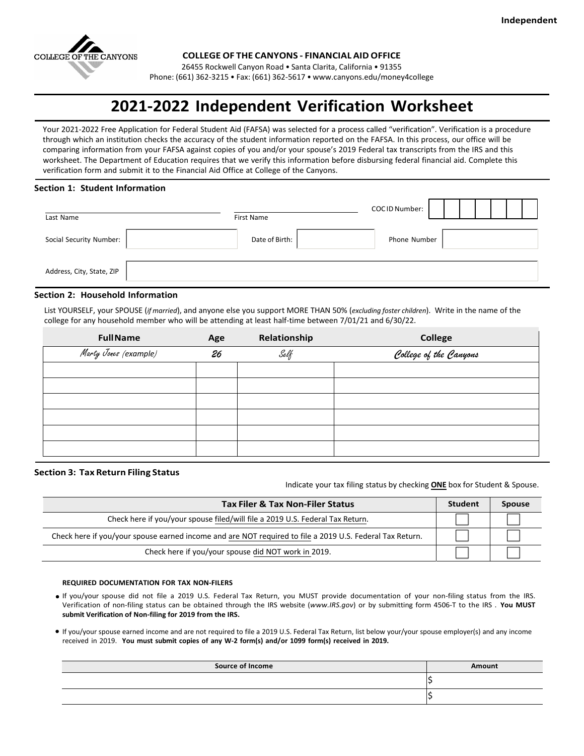

**COLLEGE OF THE CANYONS - FINANCIAL AID OFFICE**

26455 Rockwell Canyon Road • Santa Clarita, California • 91355

Phone: (661) 362-3215 • Fax: (661) 362-5617 [• www.canyons.edu/money4college](http://www.canyons.edu/money4college)

# **2021-2022 Independent Verification Worksheet**

Your 2021-2022 Free Application for Federal Student Aid (FAFSA) was selected for a process called "verification". Verification is a procedure through which an institution checks the accuracy of the student information reported on the FAFSA. In this process, our office will be comparing information from your FAFSA against copies of you and/or your spouse's 2019 Federal tax transcripts from the IRS and this worksheet. The Department of Education requires that we verify this information before disbursing federal financial aid. Complete this verification form and submit it to the Financial Aid Office at College of the Canyons.

#### **Section 1: Student Information**

| Last Name                 | First Name     | COCID Number: |  |
|---------------------------|----------------|---------------|--|
| Social Security Number:   | Date of Birth: | Phone Number  |  |
| Address, City, State, ZIP |                |               |  |

## **Section 2: Household Information**

List YOURSELF, your SPOUSE (*if married*), and anyone else you support MORE THAN 50% (*excluding foster children*). Write in the name of the college for any household member who will be attending at least half-time between 7/01/21 and 6/30/22.

| <b>FullName</b>       | Age | Relationship | <b>College</b>         |
|-----------------------|-----|--------------|------------------------|
| Marty Jones (example) | 26  | Self         | College of the Canyons |
|                       |     |              |                        |
|                       |     |              |                        |
|                       |     |              |                        |
|                       |     |              |                        |
|                       |     |              |                        |
|                       |     |              |                        |

#### **Section 3: Tax Return Filing Status**

Indicate your tax filing status by checking **ONE** box for Student & Spouse.

| <b>Tax Filer &amp; Tax Non-Filer Status</b>                                                              | <b>Student</b> | <b>Spouse</b> |
|----------------------------------------------------------------------------------------------------------|----------------|---------------|
| Check here if you/your spouse filed/will file a 2019 U.S. Federal Tax Return.                            |                |               |
| Check here if you/your spouse earned income and are NOT required to file a 2019 U.S. Federal Tax Return. |                |               |
| Check here if you/your spouse did NOT work in 2019.                                                      |                |               |

#### **REQUIRED DOCUMENTATION FOR TAX NON-FILERS**

- If you/your spouse did not file a 2019 U.S. Federal Tax Return, you MUST provide documentation of your non-filing status from the IRS. Verification of non-filing status can be obtained through the IRS website (*www.IRS.gov*) or by submitting form 4506-T to the IRS . **You MUST submit Verification of Non-filing for 2019 from the IRS.**
- If you/your spouse earned income and are not required to file a 2019 U.S. Federal Tax Return, list below your/your spouse employer(s) and any income received in 2019. **You must submit copies of any W-2 form(s) and/or 1099 form(s) received in 2019.**

| <b>Source of Income</b> | Amount |
|-------------------------|--------|
|                         |        |
|                         |        |